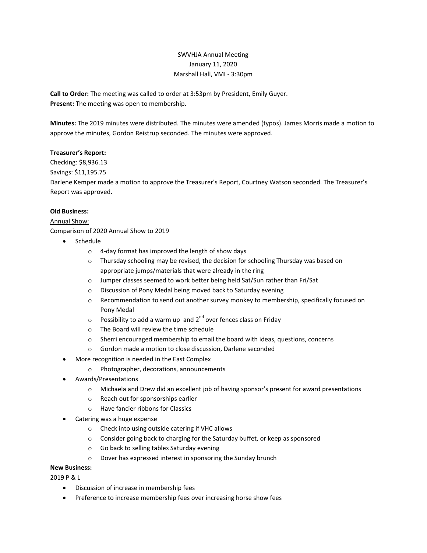# SWVHJA Annual Meeting January 11, 2020 Marshall Hall, VMI - 3:30pm

Call to Order: The meeting was called to order at 3:53pm by President, Emily Guyer. Present: The meeting was open to membership.

Minutes: The 2019 minutes were distributed. The minutes were amended (typos). James Morris made a motion to approve the minutes, Gordon Reistrup seconded. The minutes were approved.

#### Treasurer's Report:

Checking: \$8,936.13

Savings: \$11,195.75

Darlene Kemper made a motion to approve the Treasurer's Report, Courtney Watson seconded. The Treasurer's Report was approved.

#### Old Business:

## Annual Show:

Comparison of 2020 Annual Show to 2019

- Schedule
	- o 4-day format has improved the length of show days
	- $\circ$  Thursday schooling may be revised, the decision for schooling Thursday was based on appropriate jumps/materials that were already in the ring
	- o Jumper classes seemed to work better being held Sat/Sun rather than Fri/Sat
	- o Discussion of Pony Medal being moved back to Saturday evening
	- o Recommendation to send out another survey monkey to membership, specifically focused on Pony Medal
	- $\circ$  Possibility to add a warm up and 2<sup>nd</sup> over fences class on Friday
	- o The Board will review the time schedule
	- $\circ$  Sherri encouraged membership to email the board with ideas, questions, concerns
	- o Gordon made a motion to close discussion, Darlene seconded
- More recognition is needed in the East Complex
	- o Photographer, decorations, announcements
- Awards/Presentations
	- o Michaela and Drew did an excellent job of having sponsor's present for award presentations
	- o Reach out for sponsorships earlier
	- o Have fancier ribbons for Classics
- Catering was a huge expense
	- o Check into using outside catering if VHC allows
	- o Consider going back to charging for the Saturday buffet, or keep as sponsored
	- o Go back to selling tables Saturday evening
	- o Dover has expressed interest in sponsoring the Sunday brunch

#### New Business:

2019 P & L

- Discussion of increase in membership fees
- Preference to increase membership fees over increasing horse show fees